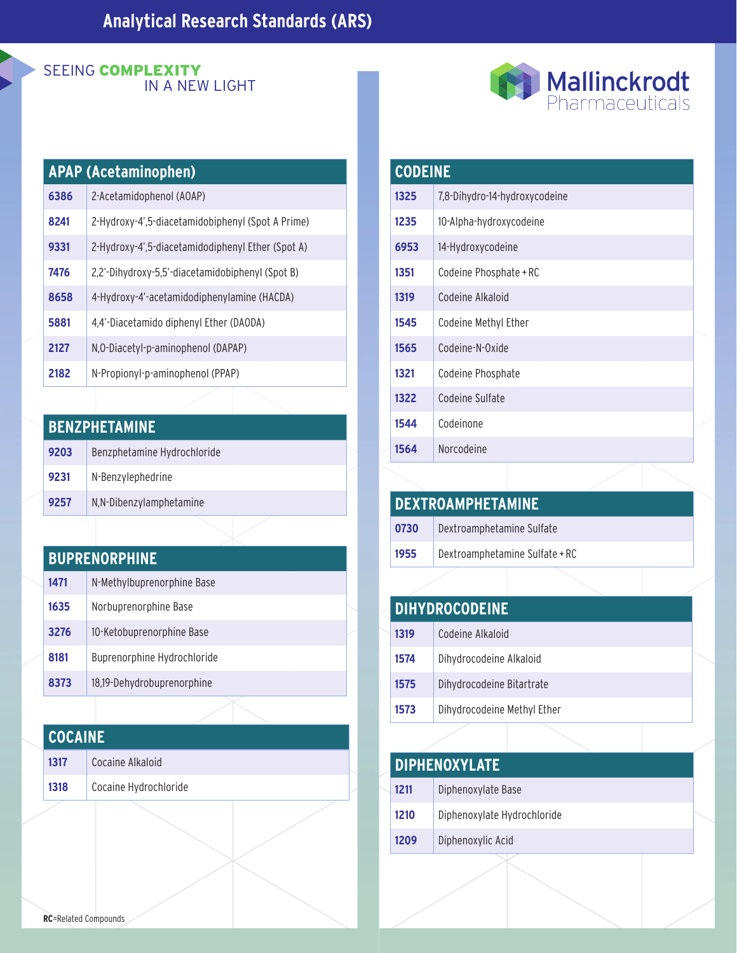#### SEEING COMPLEXITY IN A NEW LIGHT

|  | Mallinckrodt    |
|--|-----------------|
|  | Pharmaceuticals |

| <b>APAP (Acetaminophen)</b> |                                                   |  |
|-----------------------------|---------------------------------------------------|--|
| 6386                        | 2-Acetamidophenol (AOAP)                          |  |
| 8241                        | 2-Hydroxy-4',5-diacetamidobiphenyl (Spot A Prime) |  |
| 9331                        | 2-Hydroxy-4',5-diacetamidodiphenyl Ether (Spot A) |  |
| 7476                        | 2,2'-Dihydroxy-5,5'-diacetamidobiphenyl (Spot B)  |  |
| 8658                        | 4-Hydroxy-4'-acetamidodiphenylamine (HACDA)       |  |
| 5881                        | 4,4'-Diacetamido diphenyl Ether (DAODA)           |  |
| 2127                        | N, O-Diacetyl-p-aminophenol (DAPAP)               |  |
| 2182                        | N-Propionyl-p-aminophenol (PPAP)                  |  |

| <b>BENZPHETAMINE</b> |                             |  |
|----------------------|-----------------------------|--|
| 9203                 | Benzphetamine Hydrochloride |  |
| 9231                 | N-Benzylephedrine           |  |
| 9257                 | N,N-Dibenzylamphetamine     |  |

#### **BUPRENORPHINE**

| 1471 | N-Methylbuprenorphine Base  |
|------|-----------------------------|
| 1635 | Norbuprenorphine Base       |
| 3276 | 10-Ketobuprenorphine Base   |
| 8181 | Buprenorphine Hydrochloride |
| 8373 | 18,19-Dehydrobuprenorphine  |

| Cocaine Alkaloid<br>1317      | <b>COCAINE</b> |  |  |
|-------------------------------|----------------|--|--|
|                               |                |  |  |
| Cocaine Hydrochloride<br>1318 |                |  |  |

| <b>CODEINE</b> |                               |
|----------------|-------------------------------|
| 1325           | 7,8-Dihydro-14-hydroxycodeine |
| 1235           | 10-Alpha-hydroxycodeine       |
| 6953           | 14-Hydroxycodeine             |
| 1351           | Codeine Phosphate + RC        |
| 1319           | Codeine Alkaloid              |
| 1545           | Codeine Methyl Ether          |
| 1565           | Codeine-N-Oxide               |
| 1321           | Codeine Phosphate             |
| 1322           | Codeine Sulfate               |
| 1544           | Codeinone                     |
| 1564           | Norcodeine                    |

| <b>DEXTROAMPHETAMINE</b> |                                |  |
|--------------------------|--------------------------------|--|
| 0730                     | Dextroamphetamine Sulfate      |  |
| 1955                     | Dextroamphetamine Sulfate + RC |  |
|                          |                                |  |

|      | <b>DIHYDROCODEINE</b>       |
|------|-----------------------------|
| 1319 | Codeine Alkaloid            |
| 1574 | Dihydrocodeine Alkaloid     |
| 1575 | Dihydrocodeine Bitartrate   |
| 1573 | Dihydrocodeine Methyl Ether |

|      | <b>DIPHENOXYLATE</b>        |  |
|------|-----------------------------|--|
| 1211 | Diphenoxylate Base          |  |
| 1210 | Diphenoxylate Hydrochloride |  |
| 1209 | Diphenoxylic Acid           |  |
|      |                             |  |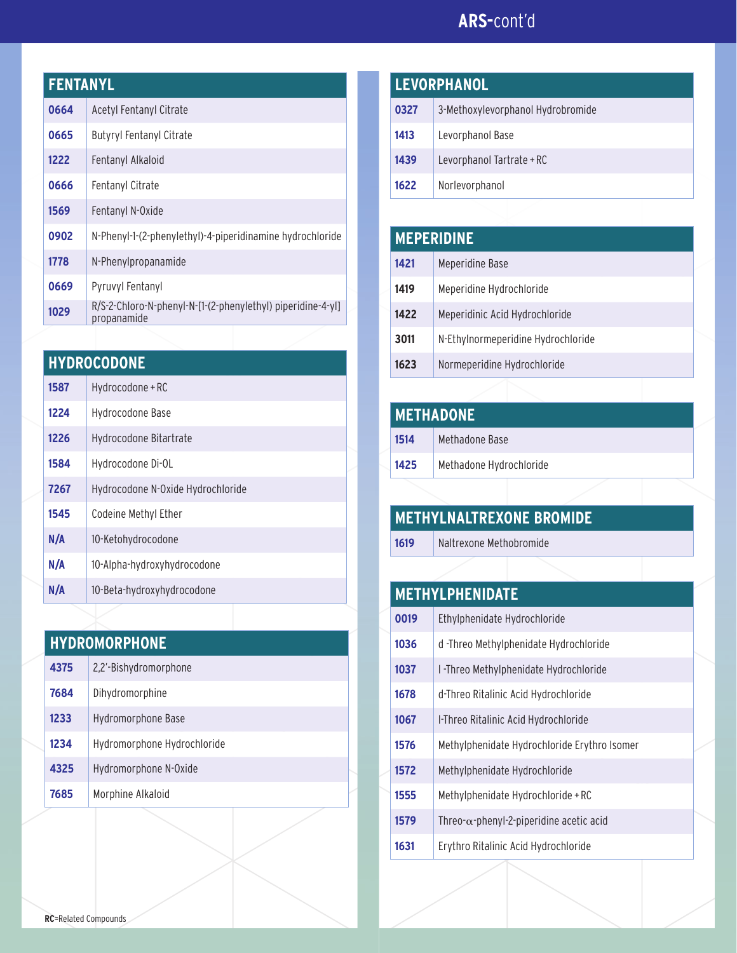## **ARS-**cont'd

| <b>FENTANYL</b> |                                                                            |  |
|-----------------|----------------------------------------------------------------------------|--|
| 0664            | Acetyl Fentanyl Citrate                                                    |  |
| 0665            | <b>Butyryl Fentanyl Citrate</b>                                            |  |
| 1222            | Fentanyl Alkaloid                                                          |  |
| 0666            | <b>Fentanyl Citrate</b>                                                    |  |
| 1569            | Fentanyl N-Oxide                                                           |  |
| 0902            | N-Phenyl-1-(2-phenylethyl)-4-piperidinamine hydrochloride                  |  |
| 1778            | N-Phenylpropanamide                                                        |  |
| 0669            | Pyruvyl Fentanyl                                                           |  |
| 1029            | R/S-2-Chloro-N-phenyl-N-[1-(2-phenylethyl) piperidine-4-yl]<br>propanamide |  |
|                 |                                                                            |  |

| <b>HYDROCODONE</b> |  |  |  |
|--------------------|--|--|--|
|                    |  |  |  |

| 1587 | Hydrocodone + RC                  |
|------|-----------------------------------|
| 1224 | Hydrocodone Base                  |
| 1226 | Hydrocodone Bitartrate            |
| 1584 | Hydrocodone Di-OL                 |
| 7267 | Hydrocodone N-Oxide Hydrochloride |
| 1545 | Codeine Methyl Ether              |
| N/A  | 10-Ketohydrocodone                |
| N/A  | 10-Alpha-hydroxyhydrocodone       |
| N/A  | 10-Beta-hydroxyhydrocodone        |

| <b>HYDROMORPHONE</b> |  |  |
|----------------------|--|--|
|                      |  |  |

| 4375 | 2,2'-Bishydromorphone       |
|------|-----------------------------|
| 7684 | Dihydromorphine             |
| 1233 | Hydromorphone Base          |
| 1234 | Hydromorphone Hydrochloride |
| 4325 | Hydromorphone N-Oxide       |
| 7685 | Morphine Alkaloid           |

| <b>LEVORPHANOL</b> |                                   |
|--------------------|-----------------------------------|
| 0327               | 3-Methoxylevorphanol Hydrobromide |
| 1413               | Levorphanol Base                  |
| 1439               | Levorphanol Tartrate + RC         |
| 1622               | Norlevorphanol                    |

## **MEPERIDINE** Meperidine Base 1419 | Meperidine Hydrochloride 1422 | Meperidinic Acid Hydrochloride N-Ethylnormeperidine Hydrochloride Normeperidine Hydrochloride

| <b>METHADONE</b> |                         |
|------------------|-------------------------|
| 1514             | Methadone Base          |
| 1425             | Methadone Hydrochloride |

| <b>I METHYLNALTREXONE BROMIDE</b> |                         |  |
|-----------------------------------|-------------------------|--|
| 1619                              | Naltrexone Methobromide |  |
|                                   |                         |  |

| <b>METHYLPHENIDATE</b> |                                                  |  |
|------------------------|--------------------------------------------------|--|
| 0019                   | Ethylphenidate Hydrochloride                     |  |
| 1036                   | d -Threo Methylphenidate Hydrochloride           |  |
| 1037                   | I -Threo Methylphenidate Hydrochloride           |  |
| 1678                   | d-Threo Ritalinic Acid Hydrochloride             |  |
| 1067                   | I-Threo Ritalinic Acid Hydrochloride             |  |
| 1576                   | Methylphenidate Hydrochloride Erythro Isomer     |  |
| 1572                   | Methylphenidate Hydrochloride                    |  |
| 1555                   | Methylphenidate Hydrochloride + RC               |  |
| 1579                   | Threo- $\alpha$ -phenyl-2-piperidine acetic acid |  |
| 1631                   | Erythro Ritalinic Acid Hydrochloride             |  |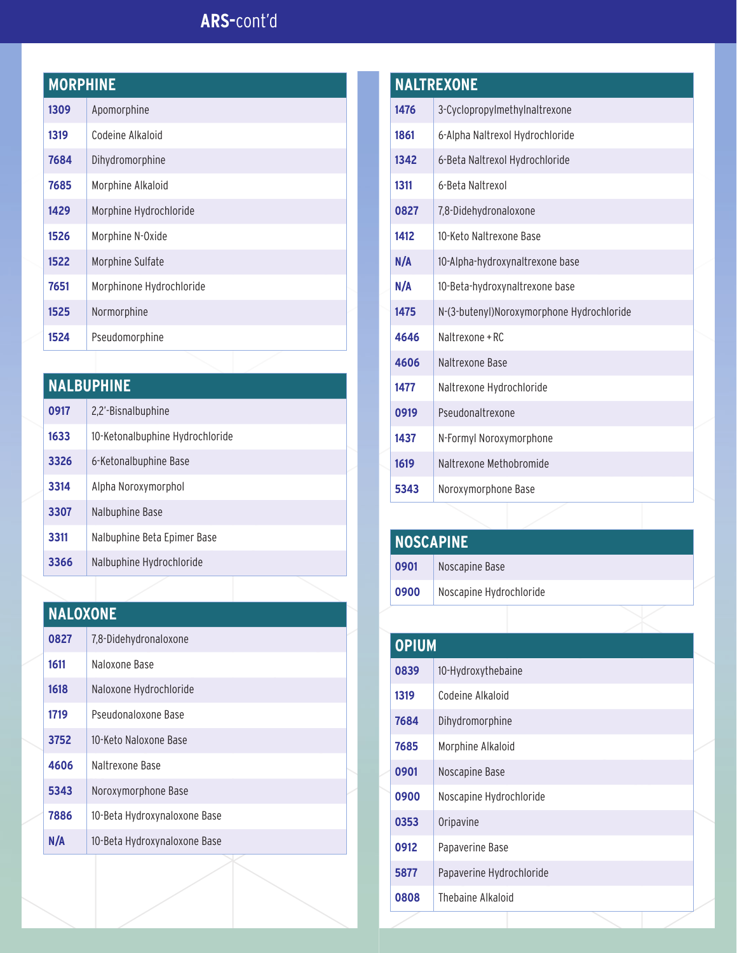## **ARS-**cont'd

#### **MORPHINE**

| 1309 | Apomorphine              |
|------|--------------------------|
| 1319 | Codeine Alkaloid         |
| 7684 | Dihydromorphine          |
| 7685 | Morphine Alkaloid        |
| 1429 | Morphine Hydrochloride   |
| 1526 | Morphine N-Oxide         |
| 1522 | Morphine Sulfate         |
| 7651 | Morphinone Hydrochloride |
| 1525 | Normorphine              |
| 1524 | Pseudomorphine           |

| <b>NALBUPHINE</b> |                                 |
|-------------------|---------------------------------|
| 0917              | 2,2'-Bisnalbuphine              |
| 1633              | 10-Ketonalbuphine Hydrochloride |
| 3326              | 6-Ketonalbuphine Base           |
| 3314              | Alpha Noroxymorphol             |
| 3307              | Nalbuphine Base                 |
| 3311              | Nalbuphine Beta Epimer Base     |
| 3366              | Nalbuphine Hydrochloride        |

### **NALOXONE** 7,8-Didehydronaloxone 1611 Naloxone Base Naloxone Hydrochloride Pseudonaloxone Base 10-Keto Naloxone Base Naltrexone Base Noroxymorphone Base 10-Beta Hydroxynaloxone Base **N/A** 10-Beta Hydroxynaloxone Base

|      | <b>NALTREXONE</b>                         |
|------|-------------------------------------------|
| 1476 | 3-Cyclopropylmethylnaltrexone             |
| 1861 | 6-Alpha Naltrexol Hydrochloride           |
| 1342 | 6-Beta Naltrexol Hydrochloride            |
| 1311 | 6-Beta Naltrexol                          |
| 0827 | 7,8-Didehydronaloxone                     |
| 1412 | 10-Keto Naltrexone Base                   |
| N/A  | 10-Alpha-hydroxynaltrexone base           |
| N/A  | 10-Beta-hydroxynaltrexone base            |
| 1475 | N-(3-butenyl)Noroxymorphone Hydrochloride |
| 4646 | Naltrexone + RC                           |
| 4606 | Naltrexone Base                           |
| 1477 | Naltrexone Hydrochloride                  |
| 0919 | Pseudonaltrexone                          |
| 1437 | N-Formyl Noroxymorphone                   |
| 1619 | Naltrexone Methobromide                   |
| 5343 | Noroxymorphone Base                       |

| <b>NOSCAPINE</b> |                         |  |
|------------------|-------------------------|--|
| 0901             | Noscapine Base          |  |
| 0900             | Noscapine Hydrochloride |  |

| <b>OPIUM</b> |                          |  |
|--------------|--------------------------|--|
| 0839         | 10-Hydroxythebaine       |  |
| 1319         | Codeine Alkaloid         |  |
| 7684         | Dihydromorphine          |  |
| 7685         | Morphine Alkaloid        |  |
| 0901         | Noscapine Base           |  |
| 0900         | Noscapine Hydrochloride  |  |
| 0353         | Oripavine                |  |
| 0912         | Papaverine Base          |  |
| 5877         | Papaverine Hydrochloride |  |
| 0808         | Thebaine Alkaloid        |  |